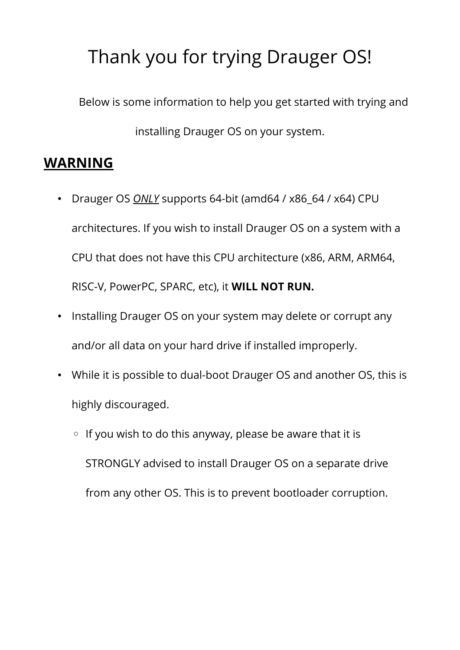# Thank you for trying Drauger OS!

Below is some information to help you get started with trying and

installing Drauger OS on your system.

# **WARNING**

- Drauger OS *ONLY* supports 64-bit (amd64 / x86\_64 / x64) CPU architectures. If you wish to install Drauger OS on a system with a CPU that does not have this CPU architecture (x86, ARM, ARM64, RISC-V, PowerPC, SPARC, etc), it **WILL NOT RUN.**
- Installing Drauger OS on your system may delete or corrupt any and/or all data on your hard drive if installed improperly.
- While it is possible to dual-boot Drauger OS and another OS, this is highly discouraged.
	- If you wish to do this anyway, please be aware that it is STRONGLY advised to install Drauger OS on a separate drive from any other OS. This is to prevent bootloader corruption.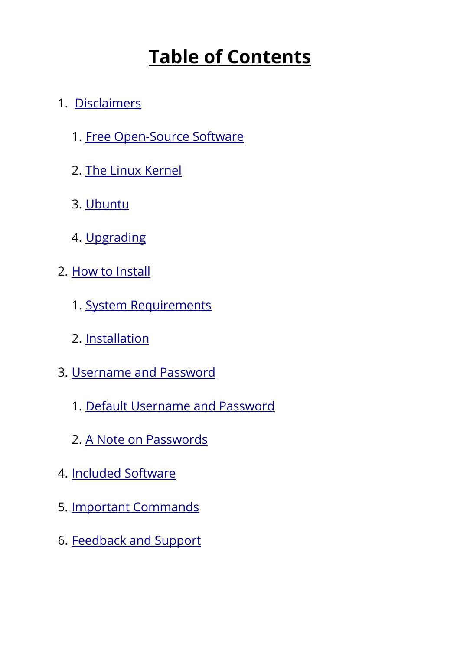# **Table of Contents**

# 1. [Disclaimers](#page-2-1)

- 1. [Free Open-Source Software](#page-2-0)
- 2. [The Linux Kernel](#page-4-0)
- 3. [Ubuntu](#page-5-1)
- 4. [Upgrading](#page-5-0)
- 2. [How to Install](#page-6-5)
	- 1. [System Requirements](#page-6-4)
	- 2. [Installation](#page-6-3)
- 3. [Username and Password](#page-6-2)
	- 1. [Default Username and Password](#page-6-1)
	- 2. [A Note on Passwords](#page-6-0)
- 4. [Included Software](#page-9-0)
- 5. [Important Commands](#page-10-0)
- 6. [Feedback and Support](#page-12-0)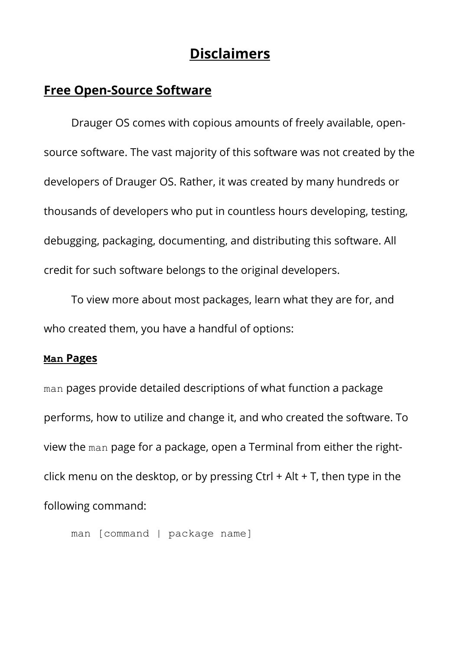# <span id="page-2-1"></span> **Disclaimers**

### <span id="page-2-0"></span> **Free Open-Source Software**

Drauger OS comes with copious amounts of freely available, opensource software. The vast majority of this software was not created by the developers of Drauger OS. Rather, it was created by many hundreds or thousands of developers who put in countless hours developing, testing, debugging, packaging, documenting, and distributing this software. All credit for such software belongs to the original developers.

To view more about most packages, learn what they are for, and who created them, you have a handful of options:

#### **Man Pages**

man pages provide detailed descriptions of what function a package performs, how to utilize and change it, and who created the software. To view the man page for a package, open a Terminal from either the rightclick menu on the desktop, or by pressing Ctrl + Alt + T, then type in the following command:

```
man [command | package name]
```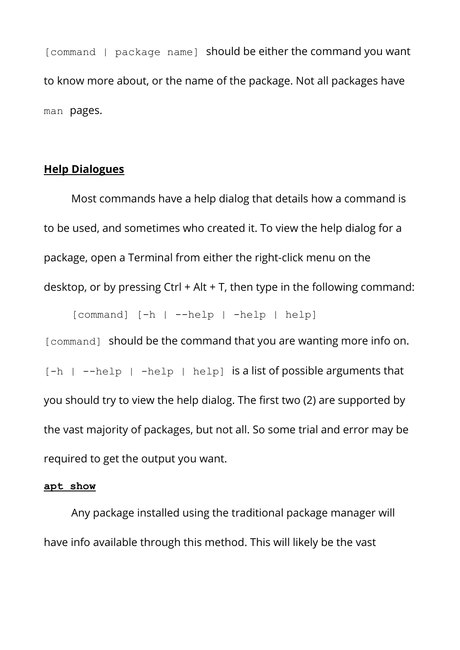[command | package name] should be either the command you want to know more about, or the name of the package. Not all packages have man pages.

#### **Help Dialogues**

Most commands have a help dialog that details how a command is to be used, and sometimes who created it. To view the help dialog for a package, open a Terminal from either the right-click menu on the desktop, or by pressing Ctrl  $+$  Alt  $+$  T, then type in the following command:

[command] [-h | --help | -help | help]

[command] should be the command that you are wanting more info on.  $[-h \mid --he1p \mid -he1p \mid he1p]$  is a list of possible arguments that you should try to view the help dialog. The first two (2) are supported by the vast majority of packages, but not all. So some trial and error may be required to get the output you want.

#### **apt show**

Any package installed using the traditional package manager will have info available through this method. This will likely be the vast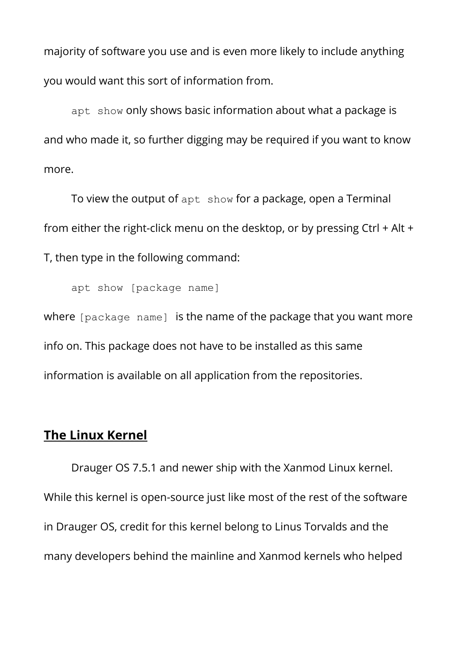majority of software you use and is even more likely to include anything you would want this sort of information from.

apt show only shows basic information about what a package is and who made it, so further digging may be required if you want to know more.

To view the output of apt show for a package, open a Terminal from either the right-click menu on the desktop, or by pressing Ctrl + Alt + T, then type in the following command:

```
apt show [package name]
```
where [package name] is the name of the package that you want more info on. This package does not have to be installed as this same information is available on all application from the repositories.

### <span id="page-4-0"></span> **The Linux Kernel**

Drauger OS 7.5.1 and newer ship with the Xanmod Linux kernel. While this kernel is open-source just like most of the rest of the software in Drauger OS, credit for this kernel belong to Linus Torvalds and the many developers behind the mainline and Xanmod kernels who helped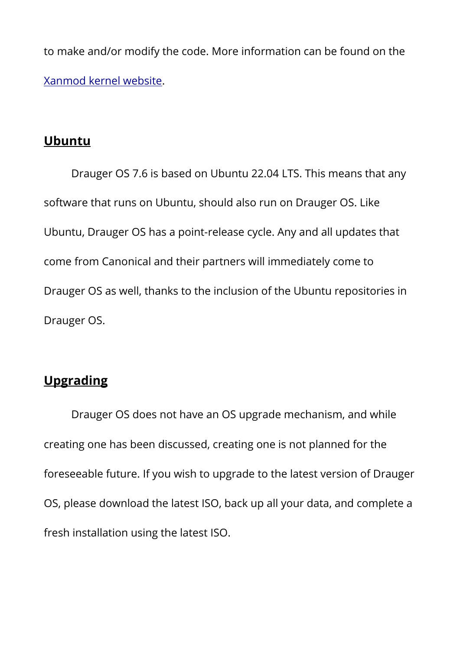to make and/or modify the code. More information can be found on the [Xanmod kernel website.](https://xanmod.org/)

### <span id="page-5-1"></span> **Ubuntu**

Drauger OS 7.6 is based on Ubuntu 22.04 LTS. This means that any software that runs on Ubuntu, should also run on Drauger OS. Like Ubuntu, Drauger OS has a point-release cycle. Any and all updates that come from Canonical and their partners will immediately come to Drauger OS as well, thanks to the inclusion of the Ubuntu repositories in Drauger OS.

### <span id="page-5-0"></span> **Upgrading**

Drauger OS does not have an OS upgrade mechanism, and while creating one has been discussed, creating one is not planned for the foreseeable future. If you wish to upgrade to the latest version of Drauger OS, please download the latest ISO, back up all your data, and complete a fresh installation using the latest ISO.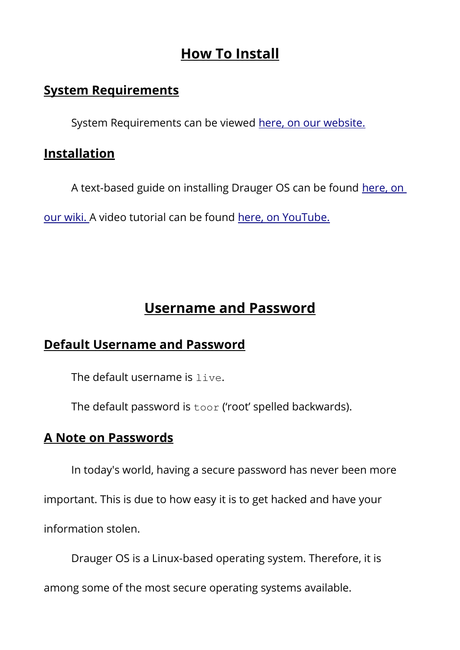# <span id="page-6-5"></span> **How To Install**

### <span id="page-6-4"></span> **System Requirements**

System Requirements can be viewed [here, on our website.](https://draugeros.org/go/system-requirements/)

# <span id="page-6-3"></span> **Installation**

A text-based guide on installing Drauger OS can be found [here, on](https://draugeros.org/go/wiki/a-guide-to-installing-drauger-os/) 

[our wiki. A](https://draugeros.org/go/wiki/a-guide-to-installing-drauger-os/) video tutorial can be found [here, on YouTube.](https://www.youtube.com/watch?v=RVgiPiBS_Xw)

# <span id="page-6-2"></span> **Username and Password**

# <span id="page-6-1"></span> **Default Username and Password**

The default username is live.

The default password is toor ('root' spelled backwards).

# <span id="page-6-0"></span> **A Note on Passwords**

In today's world, having a secure password has never been more important. This is due to how easy it is to get hacked and have your information stolen.

Drauger OS is a Linux-based operating system. Therefore, it is among some of the most secure operating systems available.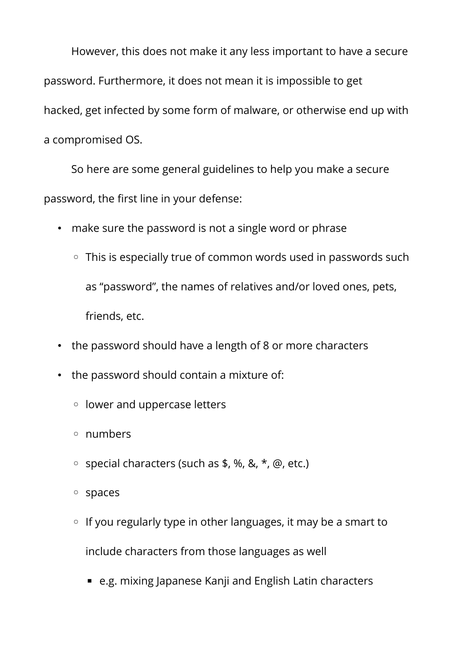However, this does not make it any less important to have a secure password. Furthermore, it does not mean it is impossible to get hacked, get infected by some form of malware, or otherwise end up with a compromised OS.

So here are some general guidelines to help you make a secure password, the first line in your defense:

- make sure the password is not a single word or phrase
	- This is especially true of common words used in passwords such as "password", the names of relatives and/or loved ones, pets, friends, etc.
- the password should have a length of 8 or more characters
- the password should contain a mixture of:
	- lower and uppercase letters
	- numbers
	- special characters (such as \$, %, &, \*, @, etc.)
	- spaces
	- If you regularly type in other languages, it may be a smart to include characters from those languages as well
		- e.g. mixing Japanese Kanji and English Latin characters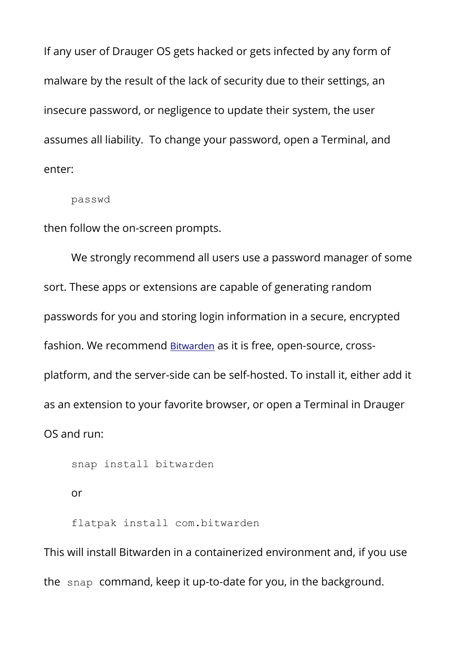If any user of Drauger OS gets hacked or gets infected by any form of malware by the result of the lack of security due to their settings, an insecure password, or negligence to update their system, the user assumes all liability. To change your password, open a Terminal, and enter:

passwd

then follow the on-screen prompts.

We strongly recommend all users use a password manager of some sort. These apps or extensions are capable of generating random passwords for you and storing login information in a secure, encrypted fashion. We recommend [Bitwarden](https://bitwarden.com/) as it is free, open-source, crossplatform, and the server-side can be self-hosted. To install it, either add it as an extension to your favorite browser, or open a Terminal in Drauger OS and run:

snap install bitwarden

or

flatpak install com.bitwarden

This will install Bitwarden in a containerized environment and, if you use the snap command, keep it up-to-date for you, in the background.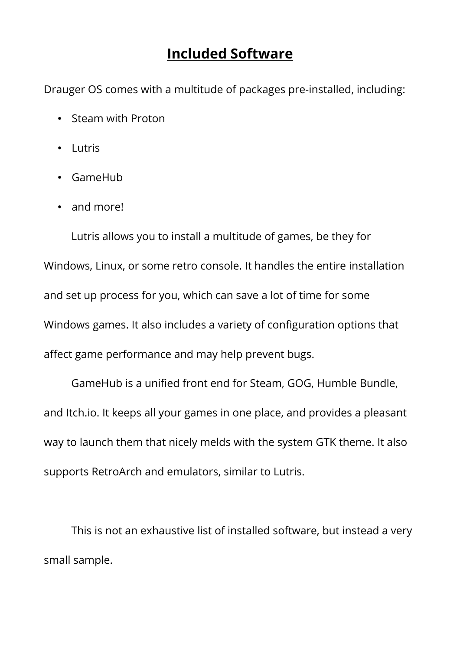# <span id="page-9-0"></span> **Included Software**

Drauger OS comes with a multitude of packages pre-installed, including:

- Steam with Proton
- Lutris
- GameHub
- and more!

Lutris allows you to install a multitude of games, be they for Windows, Linux, or some retro console. It handles the entire installation and set up process for you, which can save a lot of time for some Windows games. It also includes a variety of configuration options that affect game performance and may help prevent bugs.

GameHub is a unified front end for Steam, GOG, Humble Bundle, and Itch.io. It keeps all your games in one place, and provides a pleasant way to launch them that nicely melds with the system GTK theme. It also supports RetroArch and emulators, similar to Lutris.

This is not an exhaustive list of installed software, but instead a very small sample.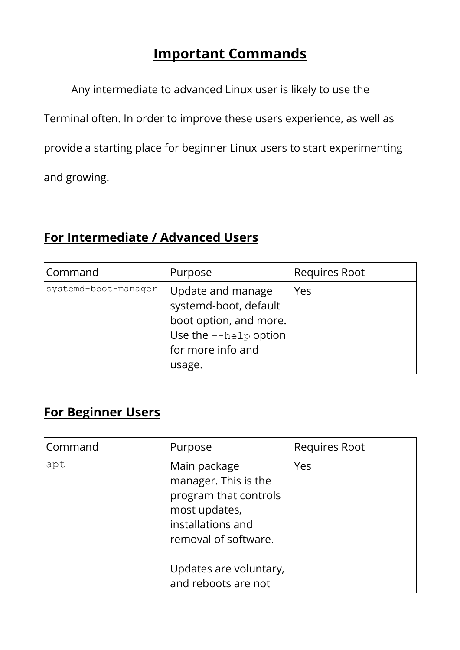# <span id="page-10-0"></span> **Important Commands**

Any intermediate to advanced Linux user is likely to use the

Terminal often. In order to improve these users experience, as well as

provide a starting place for beginner Linux users to start experimenting

and growing.

# **For Intermediate / Advanced Users**

| Command              | Purpose                                                                                                                      | Requires Root |
|----------------------|------------------------------------------------------------------------------------------------------------------------------|---------------|
| systemd-boot-manager | Update and manage<br>systemd-boot, default<br>boot option, and more.<br>Use the --help option<br>for more info and<br>usage. | Yes           |

# **For Beginner Users**

| Command | Purpose                                                                                                                     | <b>Requires Root</b> |
|---------|-----------------------------------------------------------------------------------------------------------------------------|----------------------|
| apt     | Main package<br>manager. This is the<br>program that controls<br>most updates,<br>installations and<br>removal of software. | Yes                  |
|         | Updates are voluntary,<br>and reboots are not                                                                               |                      |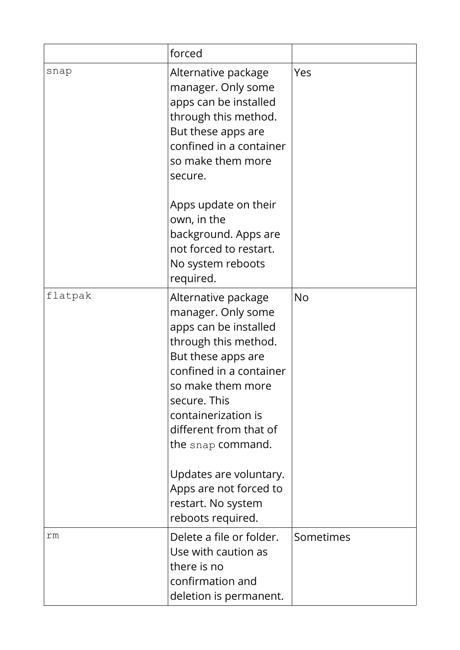|         | forced                                                                                                                                                                                                                                                                                                                           |           |
|---------|----------------------------------------------------------------------------------------------------------------------------------------------------------------------------------------------------------------------------------------------------------------------------------------------------------------------------------|-----------|
| snap    | Alternative package<br>manager. Only some<br>apps can be installed<br>through this method.<br>But these apps are<br>confined in a container<br>so make them more<br>secure.                                                                                                                                                      | Yes       |
|         | Apps update on their<br>own, in the<br>background. Apps are<br>not forced to restart.<br>No system reboots<br>required.                                                                                                                                                                                                          |           |
| flatpak | Alternative package<br>manager. Only some<br>apps can be installed<br>through this method.<br>But these apps are<br>confined in a container<br>so make them more<br>secure. This<br>containerization is<br>different from that of<br>the snap command.<br>Updates are voluntary.<br>Apps are not forced to<br>restart. No system | <b>No</b> |
| rm      | reboots required.<br>Delete a file or folder.<br>Use with caution as<br>there is no<br>confirmation and<br>deletion is permanent.                                                                                                                                                                                                | Sometimes |